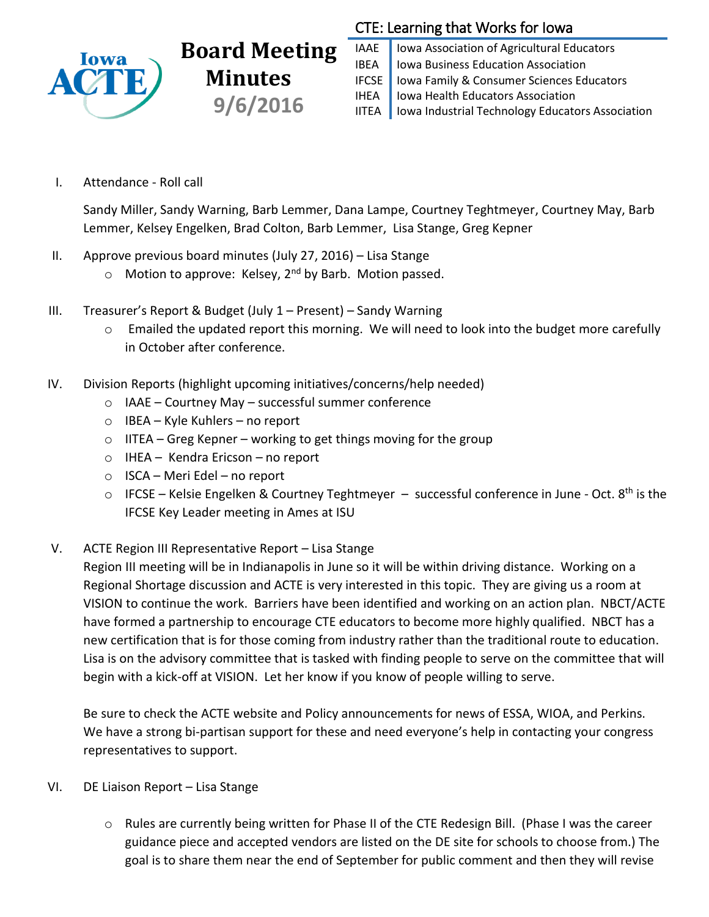

## **Board Meeting Minutes 9/6/2016**

## CTE: Learning that Works for Iowa

IAAE | Iowa Association of Agricultural Educators **IBEA** | Iowa Business Education Association IFCSE Iowa Family & Consumer Sciences Educators IHEA | Iowa Health Educators Association IITEA | Iowa Industrial Technology Educators Association

I. Attendance - Roll call

Sandy Miller, Sandy Warning, Barb Lemmer, Dana Lampe, Courtney Teghtmeyer, Courtney May, Barb Lemmer, Kelsey Engelken, Brad Colton, Barb Lemmer, Lisa Stange, Greg Kepner

- II. Approve previous board minutes (July 27, 2016) Lisa Stange
	- $\circ$  Motion to approve: Kelsey, 2<sup>nd</sup> by Barb. Motion passed.
- III. Treasurer's Report & Budget (July 1 Present) Sandy Warning
	- o Emailed the updated report this morning. We will need to look into the budget more carefully in October after conference.
- IV. Division Reports (highlight upcoming initiatives/concerns/help needed)
	- o IAAE Courtney May successful summer conference
	- o IBEA Kyle Kuhlers no report
	- $\circ$  IITEA Greg Kepner working to get things moving for the group
	- o IHEA Kendra Ericson no report
	- $\circ$  ISCA Meri Edel no report
	- $\circ$  IFCSE Kelsie Engelken & Courtney Teghtmeyer successful conference in June Oct. 8<sup>th</sup> is the IFCSE Key Leader meeting in Ames at ISU
- V. ACTE Region III Representative Report Lisa Stange

Region III meeting will be in Indianapolis in June so it will be within driving distance. Working on a Regional Shortage discussion and ACTE is very interested in this topic. They are giving us a room at VISION to continue the work. Barriers have been identified and working on an action plan. NBCT/ACTE have formed a partnership to encourage CTE educators to become more highly qualified. NBCT has a new certification that is for those coming from industry rather than the traditional route to education. Lisa is on the advisory committee that is tasked with finding people to serve on the committee that will begin with a kick-off at VISION. Let her know if you know of people willing to serve.

Be sure to check the ACTE website and Policy announcements for news of ESSA, WIOA, and Perkins. We have a strong bi-partisan support for these and need everyone's help in contacting your congress representatives to support.

- VI. DE Liaison Report Lisa Stange
	- o Rules are currently being written for Phase II of the CTE Redesign Bill. (Phase I was the career guidance piece and accepted vendors are listed on the DE site for schools to choose from.) The goal is to share them near the end of September for public comment and then they will revise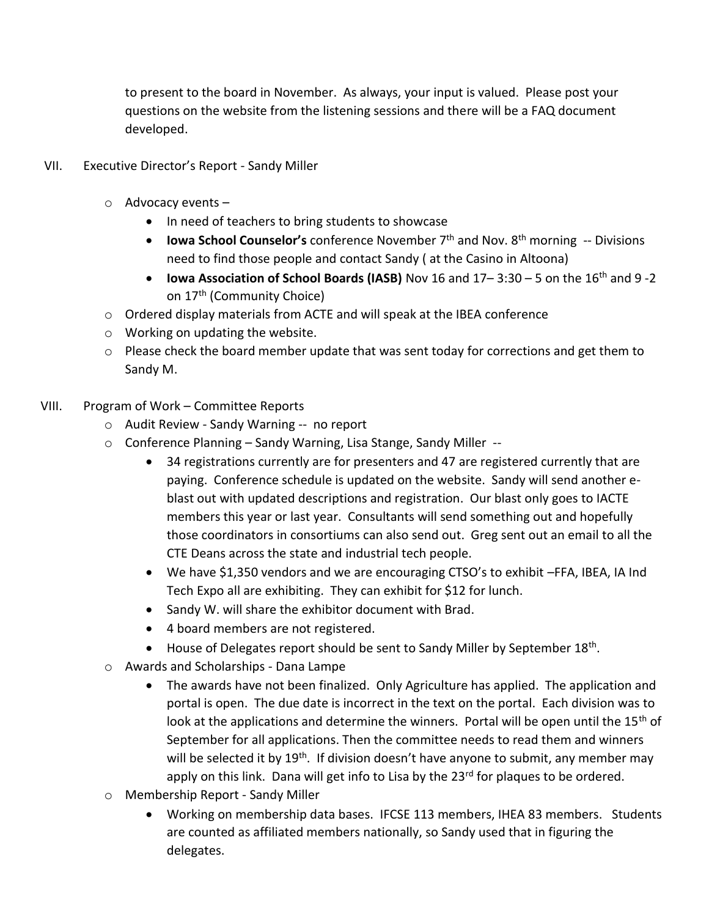to present to the board in November. As always, your input is valued. Please post your questions on the website from the listening sessions and there will be a FAQ document developed.

- VII. Executive Director's Report Sandy Miller
	- o Advocacy events
		- In need of teachers to bring students to showcase
		- **Iowa School Counselor's** conference November 7<sup>th</sup> and Nov. 8<sup>th</sup> morning -- Divisions need to find those people and contact Sandy ( at the Casino in Altoona)
		- **Iowa Association of School Boards (IASB)** Nov 16 and 17– 3:30 5 on the 16th and 9 -2 on 17<sup>th</sup> (Community Choice)
	- o Ordered display materials from ACTE and will speak at the IBEA conference
	- o Working on updating the website.
	- $\circ$  Please check the board member update that was sent today for corrections and get them to Sandy M.
- VIII. Program of Work Committee Reports
	- o Audit Review Sandy Warning -- no report
	- o Conference Planning Sandy Warning, Lisa Stange, Sandy Miller --
		- 34 registrations currently are for presenters and 47 are registered currently that are paying. Conference schedule is updated on the website. Sandy will send another eblast out with updated descriptions and registration. Our blast only goes to IACTE members this year or last year. Consultants will send something out and hopefully those coordinators in consortiums can also send out. Greg sent out an email to all the CTE Deans across the state and industrial tech people.
		- We have \$1,350 vendors and we are encouraging CTSO's to exhibit –FFA, IBEA, IA Ind Tech Expo all are exhibiting. They can exhibit for \$12 for lunch.
		- Sandy W. will share the exhibitor document with Brad.
		- 4 board members are not registered.
		- House of Delegates report should be sent to Sandy Miller by September 18<sup>th</sup>.
	- o Awards and Scholarships Dana Lampe
		- The awards have not been finalized. Only Agriculture has applied. The application and portal is open. The due date is incorrect in the text on the portal. Each division was to look at the applications and determine the winners. Portal will be open until the  $15<sup>th</sup>$  of September for all applications. Then the committee needs to read them and winners will be selected it by 19<sup>th</sup>. If division doesn't have anyone to submit, any member may apply on this link. Dana will get info to Lisa by the  $23<sup>rd</sup>$  for plaques to be ordered.
	- o Membership Report Sandy Miller
		- Working on membership data bases. IFCSE 113 members, IHEA 83 members. Students are counted as affiliated members nationally, so Sandy used that in figuring the delegates.